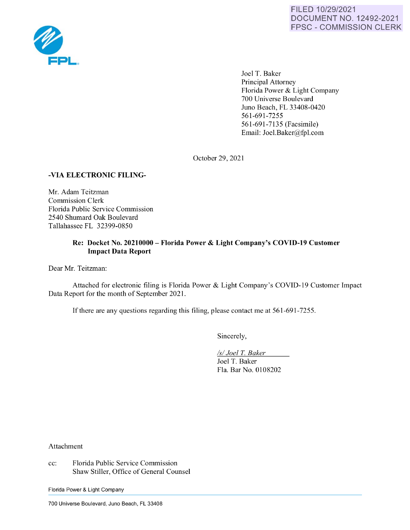

Joel T. Baker Principal Attorney Florida Power & Light Company 700 Universe Boulevard Juno Beach, FL 33408-0420 561-691-7255 561-691-7135 (Facsimile) Email: Joel.Baker@fpl.com

October 29, 2021

## **-VIA ELECTRONIC FILING-**

Mr. Adam Teitzman Commission Clerk Florida Public Service Commission 2540 Shumard Oak Boulevard Tallahassee FL 32399-0850

## **Re: Docket No. 20210000** - **Florida Power** & **Light Company's COVID-19 Customer Impact Data Report**

Dear Mr. Teitzman:

Attached for electronic filing is Florida Power & Light Company's COVID-19 Customer Impact Data Report for the month of September 2021.

If there are any questions regarding this filing, please contact me at 561-691-7255.

Sincerely,

*Isl Joel* T. *Baker*  Joel T. Baker Fla. Bar No. 0108202

Attachment

cc: Florida Public Service Commission Shaw Stiller, Office of General Counsel

Florida Power & Light Company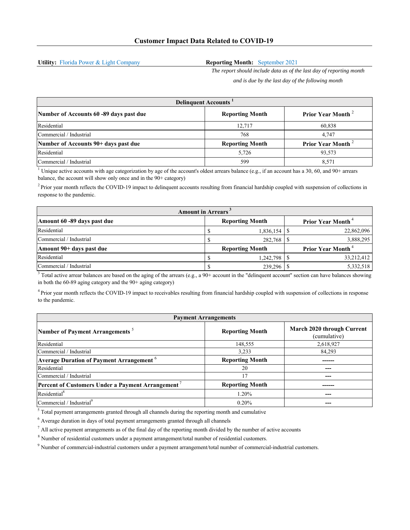**Utility:** Florida Power & Light Company

## **Reporting Month:** September 2021

*The report should include data as of the last day of reporting month and is due by the last day of the following month*

| <b>Delinquent Accounts</b>              |                        |                               |  |  |  |
|-----------------------------------------|------------------------|-------------------------------|--|--|--|
| Number of Accounts 60 -89 days past due | <b>Reporting Month</b> | Prior Year Month <sup>2</sup> |  |  |  |
| Residential                             | 12.717                 | 60,838                        |  |  |  |
| Commercial / Industrial                 | 768                    | 4.747                         |  |  |  |
| Number of Accounts 90+ days past due    | <b>Reporting Month</b> | Prior Year Month <sup>2</sup> |  |  |  |
| Residential                             | 5,726                  | 93,573                        |  |  |  |
| Commercial / Industrial                 | 599                    | 8.571                         |  |  |  |

<sup>1</sup> Unique active accounts with age categorization by age of the account's oldest arrears balance (e.g., if an account has a 30, 60, and 90+ arrears balance, the account will show only once and in the 90+ category)

 $<sup>2</sup>$  Prior year month reflects the COVID-19 impact to delinquent accounts resulting from financial hardship coupled with suspension of collections in</sup> response to the pandemic.

| <b>Amount in Arrears</b>    |  |                        |  |                                      |
|-----------------------------|--|------------------------|--|--------------------------------------|
| Amount 60 -89 days past due |  | <b>Reporting Month</b> |  | <b>Prior Year Month</b> <sup>4</sup> |
| Residential                 |  |                        |  | 22,862,096                           |
| Commercial / Industrial     |  | 282,768 \$             |  | 3,888,295                            |
| Amount 90+ days past due    |  | <b>Reporting Month</b> |  | <b>Prior Year Month</b> <sup>4</sup> |
| Residential                 |  | 1,242,798              |  | 33,212,412                           |
| Commercial / Industrial     |  | 239,296                |  | 5,332,518                            |

 $3$  Total active arrear balances are based on the aging of the arrears (e.g., a 90+ account in the "delinquent account" section can have balances showing in both the 60-89 aging category and the 90+ aging category)

<sup>4</sup> Prior year month reflects the COVID-19 impact to receivables resulting from financial hardship coupled with suspension of collections in response to the pandemic.

| <b>Payment Arrangements</b>                                 |                        |                                            |  |  |
|-------------------------------------------------------------|------------------------|--------------------------------------------|--|--|
| Number of Payment Arrangements <sup>5</sup>                 | <b>Reporting Month</b> | March 2020 through Current<br>(cumulative) |  |  |
| Residential                                                 | 148,555                | 2,618,927                                  |  |  |
| Commercial / Industrial                                     | 3,233                  | 84,293                                     |  |  |
| <b>Average Duration of Payment Arrangement</b> <sup>6</sup> | <b>Reporting Month</b> | ------                                     |  |  |
| Residential                                                 | 20                     |                                            |  |  |
| Commercial / Industrial                                     | 17                     |                                            |  |  |
| Percent of Customers Under a Payment Arrangement            | <b>Reporting Month</b> |                                            |  |  |
| Residential <sup>8</sup>                                    | 1.20%                  |                                            |  |  |
| Commercial / Industrial <sup>9</sup>                        | 0.20%                  |                                            |  |  |

 $<sup>5</sup>$  Total payment arrangements granted through all channels during the reporting month and cumulative</sup>

 $<sup>6</sup>$  Average duration in days of total payment arrangements granted through all channels</sup>

 $<sup>7</sup>$  All active payment arrangements as of the final day of the reporting month divided by the number of active accounts</sup>

 $8$  Number of residential customers under a payment arrangement/total number of residential customers.

9 Number of commercial-industrial customers under a payment arrangement/total number of commercial-industrial customers.